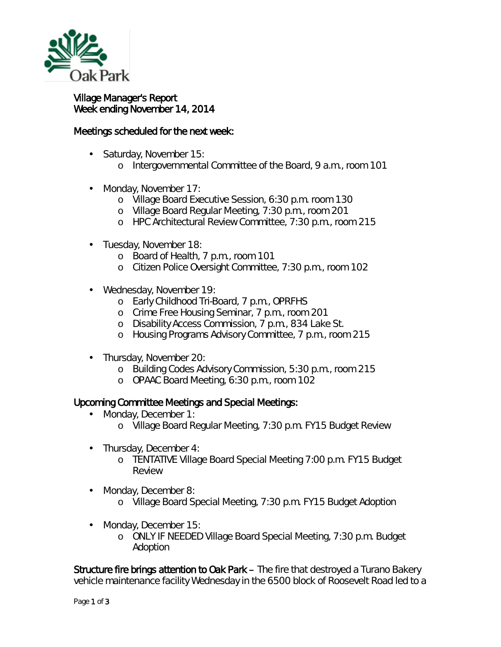

## Village Manager's Report Week ending November 14, 2014

## Meetings scheduled for the next week:

- Saturday, November 15:
	- o Intergovernmental Committee of the Board, 9 a.m., room 101
- Monday, November 17:
	- o Village Board Executive Session, 6:30 p.m. room 130
	- o Village Board Regular Meeting, 7:30 p.m., room 201
	- o HPC Architectural Review Committee, 7:30 p.m., room 215
- Tuesday, November 18: ä,
	- o Board of Health, 7 p.m., room 101
	- o Citizen Police Oversight Committee, 7:30 p.m., room 102
- Wednesday, November 19:
	- o Early Childhood Tri-Board, 7 p.m., OPRFHS
	- o Crime Free Housing Seminar, 7 p.m., room 201
	- o Disability Access Commission, 7 p.m., 834 Lake St.
	- o Housing Programs Advisory Committee, 7 p.m., room 215
- Thursday, November 20:
	- o Building Codes Advisory Commission, 5:30 p.m., room 215
	- o OPAAC Board Meeting, 6:30 p.m., room 102

## Upcoming Committee Meetings and Special Meetings:

- Monday, December 1:
	- o Village Board Regular Meeting, 7:30 p.m. FY15 Budget Review
- Thursday, December 4: ¥,
	- o TENTATIVE Village Board Special Meeting 7:00 p.m. FY15 Budget Review
- Monday, December 8:
	- o Village Board Special Meeting, 7:30 p.m. FY15 Budget Adoption
- Monday, December 15:
	- o ONLY IF NEEDED Village Board Special Meeting, 7:30 p.m. Budget Adoption

Structure fire brings attention to Oak Park – The fire that destroyed a Turano Bakery vehicle maintenance facility Wednesday in the 6500 block of Roosevelt Road led to a

ä,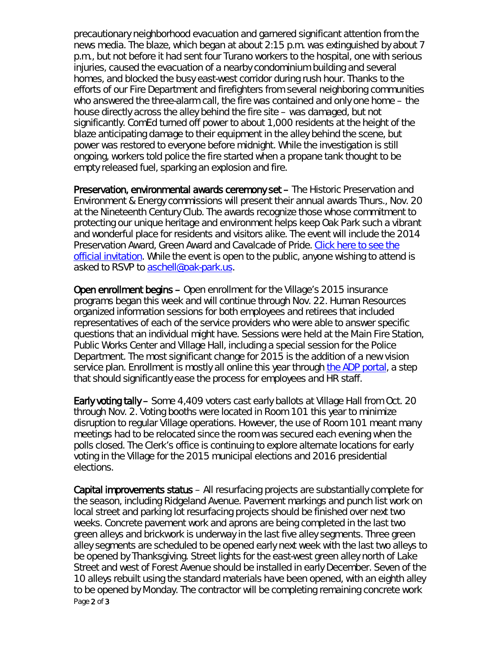precautionary neighborhood evacuation and garnered significant attention from the news media. The blaze, which began at about 2:15 p.m. was extinguished by about 7 p.m., but not before it had sent four Turano workers to the hospital, one with serious injuries, caused the evacuation of a nearby condominium building and several homes, and blocked the busy east-west corridor during rush hour. Thanks to the efforts of our Fire Department and firefighters from several neighboring communities who answered the three-alarm call, the fire was contained and only one home – the house directly across the alley behind the fire site – was damaged, but not significantly. ComEd turned off power to about 1,000 residents at the height of the blaze anticipating damage to their equipment in the alley behind the scene, but power was restored to everyone before midnight. While the investigation is still ongoing, workers told police the fire started when a propane tank thought to be empty released fuel, sparking an explosion and fire.

Preservation, environmental awards ceremony set – The Historic Preservation and Environment & Energy commissions will present their annual awards Thurs., Nov. 20 at the Nineteenth Century Club. The awards recognize those whose commitment to protecting our unique heritage and environment helps keep Oak Park such a vibrant and wonderful place for residents and visitors alike. The event will include the 2014 Preservation Award, Green Award and Cavalcade of Pride. [Click here to see the](http://www.oak-park.us/sites/default/files/historic-preservation/preservation-award-winners/postcard-invite-2014-revised.pdf)  [official invitation.](http://www.oak-park.us/sites/default/files/historic-preservation/preservation-award-winners/postcard-invite-2014-revised.pdf) While the event is open to the public, anyone wishing to attend is asked to RSVP to [aschell@oak-park.us.](mailto:aschell@oak-park.us)

Open enrollment begins – Open enrollment for the Village's 2015 insurance programs began this week and will continue through Nov. 22. Human Resources organized information sessions for both employees and retirees that included representatives of each of the service providers who were able to answer specific questions that an individual might have. Sessions were held at the Main Fire Station, Public Works Center and Village Hall, including a special session for the Police Department. The most significant change for 2015 is the addition of a new vision service plan. Enrollment is mostly all online this year through [the ADP portal,](https://workforcenow.adp.com/public/index.htm) a step that should significantly ease the process for employees and HR staff.

Early voting tally – Some 4,409 voters cast early ballots at Village Hall from Oct. 20 through Nov. 2. Voting booths were located in Room 101 this year to minimize disruption to regular Village operations. However, the use of Room 101 meant many meetings had to be relocated since the room was secured each evening when the polls closed. The Clerk's office is continuing to explore alternate locations for early voting in the Village for the 2015 municipal elections and 2016 presidential elections.

Page 2 of 3 Capital improvements status – All resurfacing projects are substantially complete for the season, including Ridgeland Avenue. Pavement markings and punch list work on local street and parking lot resurfacing projects should be finished over next two weeks. Concrete pavement work and aprons are being completed in the last two green alleys and brickwork is underway in the last five alley segments. Three green alley segments are scheduled to be opened early next week with the last two alleys to be opened by Thanksgiving. Street lights for the east-west green alley north of Lake Street and west of Forest Avenue should be installed in early December. Seven of the 10 alleys rebuilt using the standard materials have been opened, with an eighth alley to be opened by Monday. The contractor will be completing remaining concrete work